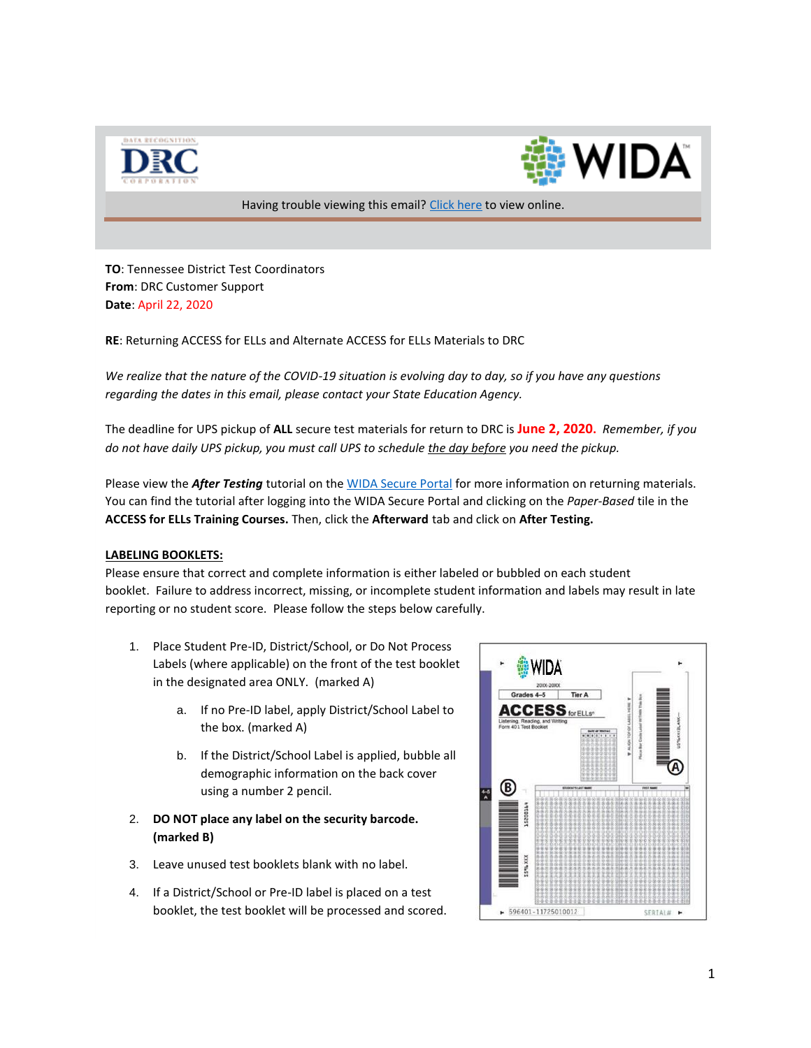



Having trouble viewing this email[? Click here](https://urldefense.proofpoint.com/v2/url?u=http-3A__s2720.t.en25.com_e_es.aspx-3Fs-3D2720-26e-3D134279-26elqTrackId-3D9006bf4d99a54a5a8c20e728a3d517d0-26elq-3D01308a210fc54093b0dfa1bdcea05359-26elqaid-3D6513-26elqat-3D1&d=DwMCaQ&c=8zrWcxohc8EScTghaWfhULjPi_iW3pFnOBrhZAw_16M&r=GH4Xqtq4XXyk6LEInLquhzs8zDy_MhFydhTfC8in5fTVLodPWNQTd3y7yUE7VlNO&m=pzzZLug2M4uTyR-mCqxdd7kWlxj3GlEA0ifayoF3Bek&s=Wq_ilVPqrG0O6lENRRrWZnWSWFG2lTZGebiRnWEkS_I&e=) to view online.

**TO**: Tennessee District Test Coordinators **From**: DRC Customer Support **Date**: April 22, 2020

**RE**: Returning ACCESS for ELLs and Alternate ACCESS for ELLs Materials to DRC

*We realize that the nature of the COVID-19 situation is evolving day to day, so if you have any questions regarding the dates in this email, please contact your State Education Agency.*

The deadline for UPS pickup of **ALL** secure test materials for return to DRC is **June 2, 2020.** *Remember, if you do not have daily UPS pickup, you must call UPS to schedule the day before you need the pickup.* 

Please view the *After Testing* tutorial on the [WIDA Secure Portal](https://urldefense.proofpoint.com/v2/url?u=http-3A__s2720.t.en25.com_e_er-3Futm-5Fcampaign-3DTN09-26utm-5Fmedium-3Demail-26utm-5Fsource-3DEloqua-26s-3D2720-26lid-3D1445-26elqTrackId-3D1633C6280A3A8E348112D0BD1D0D7F67-26elq-3D01308a210fc54093b0dfa1bdcea05359-26elqaid-3D6513-26elqat-3D1&d=DwMCaQ&c=8zrWcxohc8EScTghaWfhULjPi_iW3pFnOBrhZAw_16M&r=GH4Xqtq4XXyk6LEInLquhzs8zDy_MhFydhTfC8in5fTVLodPWNQTd3y7yUE7VlNO&m=pzzZLug2M4uTyR-mCqxdd7kWlxj3GlEA0ifayoF3Bek&s=5mRybBos_ZkW0In9LvcGWQhk6g5kzKEyhjTRTlgUK6Q&e=) for more information on returning materials. You can find the tutorial after logging into the WIDA Secure Portal and clicking on the *Paper-Based* tile in the **ACCESS for ELLs Training Courses.** Then, click the **Afterward** tab and click on **After Testing.**

## **LABELING BOOKLETS:**

Please ensure that correct and complete information is either labeled or bubbled on each student booklet. Failure to address incorrect, missing, or incomplete student information and labels may result in late reporting or no student score. Please follow the steps below carefully.

- 1. Place Student Pre-ID, District/School, or Do Not Process Labels (where applicable) on the front of the test booklet in the designated area ONLY. (marked A)
	- a. If no Pre-ID label, apply District/School Label to the box. (marked A)
	- b. If the District/School Label is applied, bubble all demographic information on the back cover using a number 2 pencil.
- 2. **DO NOT place any label on the security barcode. (marked B)**
- 3. Leave unused test booklets blank with no label.
- 4. If a District/School or Pre-ID label is placed on a test booklet, the test booklet will be processed and scored.

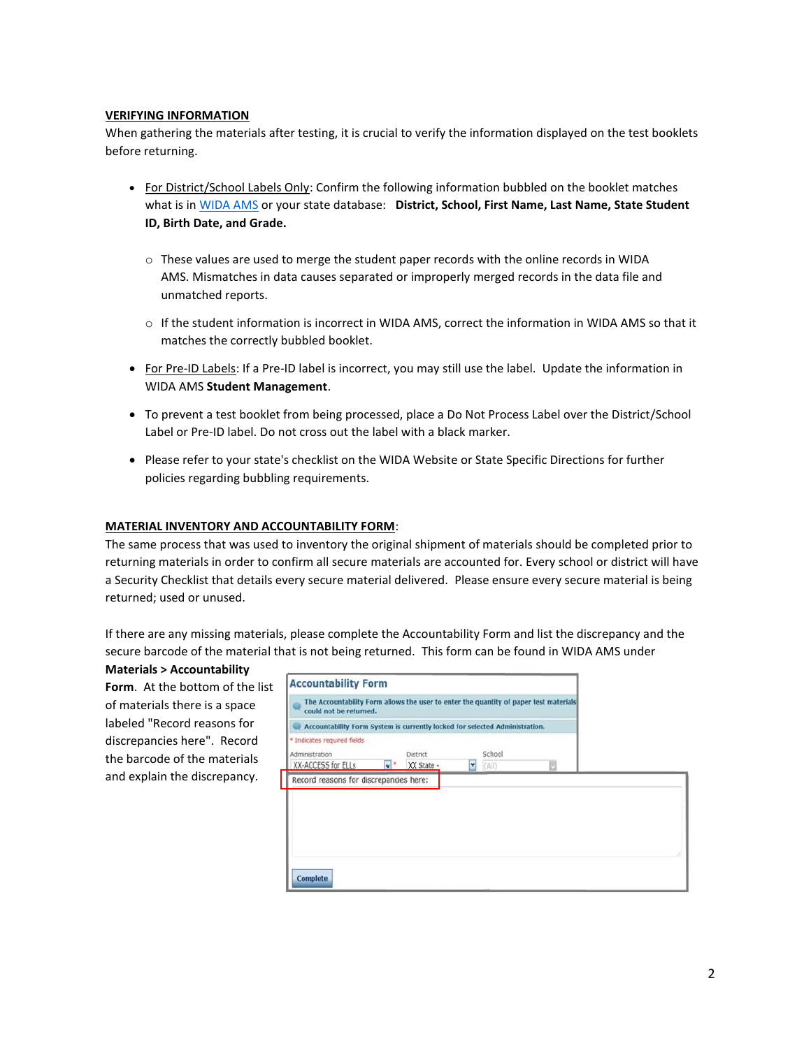## **VERIFYING INFORMATION**

When gathering the materials after testing, it is crucial to verify the information displayed on the test booklets before returning.

- For District/School Labels Only: Confirm the following information bubbled on the booklet matches what is i[n WIDA AMS](https://urldefense.proofpoint.com/v2/url?u=http-3A__s2720.t.en25.com_e_er-3Futm-5Fcampaign-3DTN09-26utm-5Fmedium-3Demail-26utm-5Fsource-3DEloqua-26s-3D2720-26lid-3D991-26elqTrackId-3D7BB0758BEC02FC2A381F078967FBC916-26elq-3D01308a210fc54093b0dfa1bdcea05359-26elqaid-3D6513-26elqat-3D1&d=DwMCaQ&c=8zrWcxohc8EScTghaWfhULjPi_iW3pFnOBrhZAw_16M&r=GH4Xqtq4XXyk6LEInLquhzs8zDy_MhFydhTfC8in5fTVLodPWNQTd3y7yUE7VlNO&m=pzzZLug2M4uTyR-mCqxdd7kWlxj3GlEA0ifayoF3Bek&s=S5ss3FzRpvwrMbPqf8-x0RKTqCyrvTbJ4oRnquSTJQE&e=) or your state database: **District, School, First Name, Last Name, State Student ID, Birth Date, and Grade.**
	- o These values are used to merge the student paper records with the online records in WIDA AMS. Mismatches in data causes separated or improperly merged records in the data file and unmatched reports.
	- o If the student information is incorrect in WIDA AMS, correct the information in WIDA AMS so that it matches the correctly bubbled booklet.
- For Pre-ID Labels: If a Pre-ID label is incorrect, you may still use the label. Update the information in WIDA AMS **Student Management**.
- To prevent a test booklet from being processed, place a Do Not Process Label over the District/School Label or Pre-ID label. Do not cross out the label with a black marker.
- Please refer to your state's checklist on the WIDA Website or State Specific Directions for further policies regarding bubbling requirements.

## **MATERIAL INVENTORY AND ACCOUNTABILITY FORM**:

The same process that was used to inventory the original shipment of materials should be completed prior to returning materials in order to confirm all secure materials are accounted for. Every school or district will have a Security Checklist that details every secure material delivered. Please ensure every secure material is being returned; used or unused.

If there are any missing materials, please complete the Accountability Form and list the discrepancy and the secure barcode of the material that is not being returned. This form can be found in WIDA AMS under

**Materials > Accountability**  Form. At the bottom of the list of materials there is a space labeled "Record reasons for discrepancies here". Record the barcode of the materials and explain the discrepancy.

| could not be returned.                                                                                     |    |                               |   |                 |   |  |
|------------------------------------------------------------------------------------------------------------|----|-------------------------------|---|-----------------|---|--|
| Accountability Form System is currently locked for selected Administration.<br>* Indicates required fields |    |                               |   |                 |   |  |
| Administration<br>XX-ACCESS for ELLs                                                                       | v. | <b>District</b><br>XX State - | ≝ | School<br>(A  ) | a |  |
| Record reasons for discrepancies here:                                                                     |    |                               |   |                 |   |  |
|                                                                                                            |    |                               |   |                 |   |  |
|                                                                                                            |    |                               |   |                 |   |  |
|                                                                                                            |    |                               |   |                 |   |  |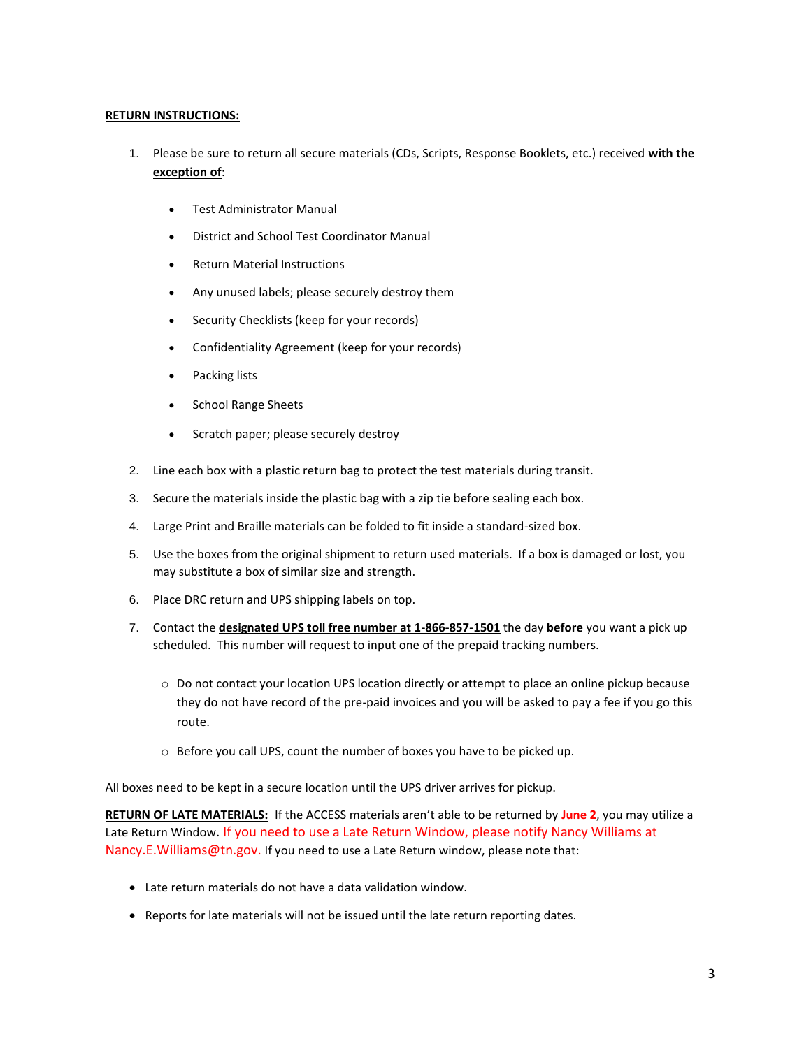## **RETURN INSTRUCTIONS:**

- 1. Please be sure to return all secure materials (CDs, Scripts, Response Booklets, etc.) received **with the exception of**:
	- Test Administrator Manual
	- District and School Test Coordinator Manual
	- Return Material Instructions
	- Any unused labels; please securely destroy them
	- Security Checklists (keep for your records)
	- Confidentiality Agreement (keep for your records)
	- Packing lists
	- School Range Sheets
	- Scratch paper; please securely destroy
- 2. Line each box with a plastic return bag to protect the test materials during transit.
- 3. Secure the materials inside the plastic bag with a zip tie before sealing each box.
- 4. Large Print and Braille materials can be folded to fit inside a standard-sized box.
- 5. Use the boxes from the original shipment to return used materials. If a box is damaged or lost, you may substitute a box of similar size and strength.
- 6. Place DRC return and UPS shipping labels on top.
- 7. Contact the **designated UPS toll free number at 1-866-857-1501** the day **before** you want a pick up scheduled. This number will request to input one of the prepaid tracking numbers.
	- o Do not contact your location UPS location directly or attempt to place an online pickup because they do not have record of the pre-paid invoices and you will be asked to pay a fee if you go this route.
	- o Before you call UPS, count the number of boxes you have to be picked up.

All boxes need to be kept in a secure location until the UPS driver arrives for pickup.

**RETURN OF LATE MATERIALS:** If the ACCESS materials aren't able to be returned by **June 2**, you may utilize a Late Return Window. If you need to use a Late Return Window, please notify Nancy Williams at Nancy.E.Williams@tn.gov. If you need to use a Late Return window, please note that:

- Late return materials do not have a data validation window.
- Reports for late materials will not be issued until the late return reporting dates.